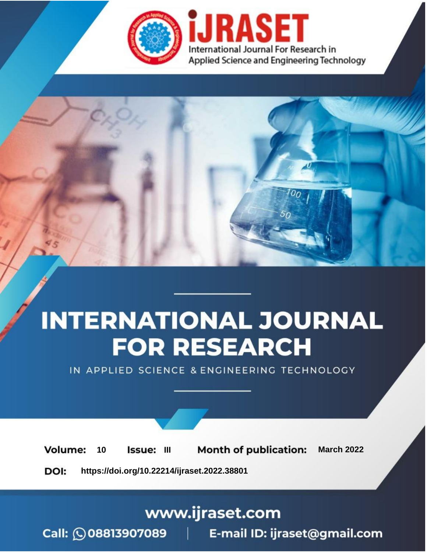

# **INTERNATIONAL JOURNAL FOR RESEARCH**

IN APPLIED SCIENCE & ENGINEERING TECHNOLOGY

10 **Issue: III Month of publication:** March 2022 **Volume:** 

**https://doi.org/10.22214/ijraset.2022.38801**DOI:

www.ijraset.com

Call: 008813907089 | E-mail ID: ijraset@gmail.com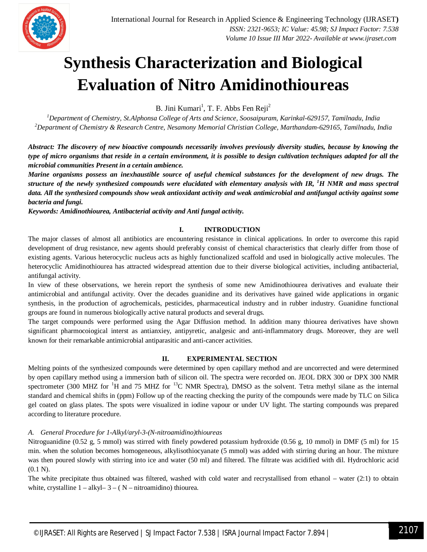

### **Synthesis Characterization and Biological Evaluation of Nitro Amidinothioureas**

B. Jini Kumari<sup>1</sup>, T. F. Abbs Fen Reji<sup>2</sup>

*<sup>1</sup>Department of Chemistry, St.Alphonsa College of Arts and Science, Soosaipuram, Karinkal-629157, Tamilnadu, India <sup>2</sup>Department of Chemistry & Research Centre, Nesamony Memorial Christian College, Marthandam-629165, Tamilnadu, India*

*Abstract: The discovery of new bioactive compounds necessarily involves previously diversity studies, because by knowing the type of micro organisms that reside in a certain environment, it is possible to design cultivation techniques adapted for all the microbial communities Present in a certain ambience.* 

*Marine organisms possess an inexhaustible source of useful chemical substances for the development of new drugs. The structure of the newly synthesized compounds were elucidated with elementary analysis with IR, <sup>1</sup>H NMR and mass spectral data. All the synthesized compounds show weak antioxidant activity and weak antimicrobial and antifungal activity against some bacteria and fungi.* 

*Keywords: Amidinothiourea, Antibacterial activity and Anti fungal activity.* 

#### **I. INTRODUCTION**

The major classes of almost all antibiotics are encountering resistance in clinical applications. In order to overcome this rapid development of drug resistance, new agents should preferably consist of chemical characteristics that clearly differ from those of existing agents. Various heterocyclic nucleus acts as highly functionalized scaffold and used in biologically active molecules. The heterocyclic Amidinothiourea has attracted widespread attention due to their diverse biological activities, including antibacterial, antifungal activity.

In view of these observations, we herein report the synthesis of some new Amidinothiourea derivatives and evaluate their antimicrobial and antifungal activity. Over the decades guanidine and its derivatives have gained wide applications in organic synthesis, in the production of agrochemicals, pesticides, pharmaceutical industry and in rubber industry. Guanidine functional groups are found in numerous biologically active natural products and several drugs.

The target compounds were performed using the Agar Diffusion method. In addition many thiourea derivatives have shown significant pharmocoiogical interst as antianxiey, antipyretic, analgesic and anti-inflammatory drugs. Moreover, they are well known for their remarkable antimicrobial antiparasitic and anti-cancer activities.

#### **II. EXPERIMENTAL SECTION**

Melting points of the synthesized compounds were determined by open capillary method and are uncorrected and were determined by open capillary method using a immersion bath of silicon oil. The spectra were recorded on. JEOL DRX 300 or DPX 300 NMR spectrometer (300 MHZ for <sup>1</sup>H and 75 MHZ for <sup>13</sup>C NMR Spectra), DMSO as the solvent. Tetra methyl silane as the internal standard and chemical shifts in (ppm) Follow up of the reacting checking the purity of the compounds were made by TLC on Silica gel coated on glass plates. The spots were visualized in iodine vapour or under UV light. The starting compounds was prepared according to literature procedure.

#### *A. General Procedure for 1-Alkyl/aryl-3-(N-nitroamidino)thioureas*

Nitroguanidine (0.52 g, 5 mmol) was stirred with finely powdered potassium hydroxide (0.56 g, 10 mmol) in DMF (5 ml) for 15 min. when the solution becomes homogeneous, alkylisothiocyanate (5 mmol) was added with stirring during an hour. The mixture was then poured slowly with stirring into ice and water (50 ml) and filtered. The filtrate was acidified with dil. Hydrochloric acid (0.1 N).

The white precipitate thus obtained was filtered, washed with cold water and recrystallised from ethanol – water (2:1) to obtain white, crystalline  $1 - alkyl - 3 - (N - nitroamidino)$  thiourea.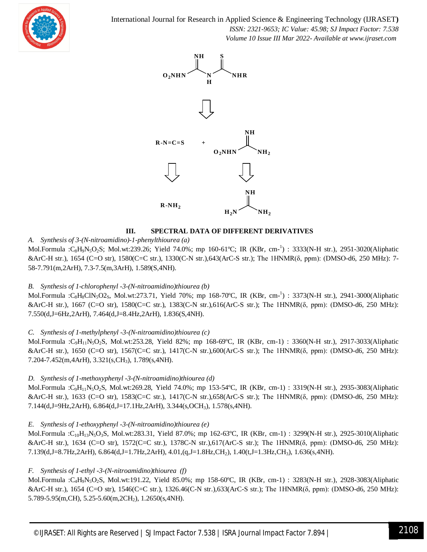

International Journal for Research in Applied Science & Engineering Technology (IJRASET**)**  *ISSN: 2321-9653; IC Value: 45.98; SJ Impact Factor: 7.538 Volume 10 Issue III Mar 2022- Available at www.ijraset.com*



#### **III. SPECTRAL DATA OF DIFFERENT DERIVATIVES**

#### *A. Synthesis of 3-(N-nitroamidino)-1-phenylthiourea (a)*

Mol.Formula :C<sub>8</sub>H<sub>9</sub>N<sub>5</sub>O<sub>2</sub>S; Mol.wt:239.26; Yield 74.0%; mp 160-61°C; IR (KBr, cm-<sup>1</sup>) : 3333(N-H str.), 2951-3020(Aliphatic &ArC-H str.), 1654 (C=O str), 1580(C=C str.), 1330(C-N str.),643(ArC-S str.); The 1HNMR(δ, ppm): (DMSO-d6, 250 MHz): 7- 58-7.791(m,2ArH), 7.3-7.5(m,3ArH), 1.589(S,4NH).

#### *B. Synthesis of 1-chlorophenyl -3-(N-nitroamidino)thiourea (b)*

Mol.Formula :C<sub>8</sub>H<sub>8</sub>ClN<sub>5</sub>O2<sub>S</sub>, Mol.wt:273.71, Yield 70%; mp 168-70°C, IR (KBr, cm-<sup>1</sup>) : 3373(N-H str.), 2941-3000(Aliphatic &ArC-H str.), 1667 (C=O str), 1580(C=C str.), 1383(C-N str.),616(ArC-S str.); The 1HNMR(δ, ppm): (DMSO-d6, 250 MHz): 7.550(d,J=6Hz,2ArH), 7.464(d,J=8.4Hz,2ArH), 1.836(S,4NH).

#### *C. Synthesis of 1-methylphenyl -3-(N-nitroamidino)thiourea (c)*

Mol.Formula :C9H11N5O2S, Mol.wt:253.28, Yield 82%; mp 168-69ºC, IR (KBr, cm-1) : 3360(N-H str.), 2917-3033(Aliphatic &ArC-H str.), 1650 (C=O str), 1567(C=C str.), 1417(C-N str.),600(ArC-S str.); The 1HNMR(δ, ppm): (DMSO-d6, 250 MHz): 7.204-7.452(m,4ArH), 3.321(s,CH3), 1.789(s,4NH).

#### *D. Synthesis of 1-methoxyphenyl -3-(N-nitroamidino)thiourea (d)*

Mol.Formula :C9H11N5O2S, Mol.wt:269.28, Yield 74.0%; mp 153-54ºC, IR (KBr, cm-1) : 3319(N-H str.), 2935-3083(Aliphatic &ArC-H str.), 1633 (C=O str), 1583(C=C str.), 1417(C-N str.),658(ArC-S str.); The 1HNMR(δ, ppm): (DMSO-d6, 250 MHz): 7.144(d,J=9Hz,2ArH), 6.864(d,J=17.1Hz,2ArH), 3.344(s,OCH3), 1.578(s,4NH).

#### *E. Synthesis of 1-ethoxyphenyl -3-(N-nitroamidino)thiourea (e)*

Mol.Formula : $C_{10}H_{13}N_5O_3S$ , Mol.wt:283.31, Yield 87.0%; mp 162-63°C, IR (KBr, cm-1) : 3299(N-H str.), 2925-3010(Aliphatic &ArC-H str.), 1634 (C=O str), 1572(C=C str.), 1378C-N str.),617(ArC-S str.); The 1HNMR(δ, ppm): (DMSO-d6, 250 MHz): 7.139(d,J=8.7Hz,2ArH), 6.864(d,J=1.7Hz,2ArH), 4.01,(q,J=1.8Hz,CH2), 1.40(t,J=1.3Hz,CH3), 1.636(s,4NH).

#### *F. Synthesis of 1-ethyl -3-(N-nitroamidino)thiourea (f)*

Mol.Formula :C4H9N5O2S, Mol.wt:191.22, Yield 85.0%; mp 158-60ºC, IR (KBr, cm-1) : 3283(N-H str.), 2928-3083(Aliphatic &ArC-H str.), 1654 (C=O str), 1546(C=C str.), 1326.46(C-N str.),633(ArC-S str.); The 1HNMR(δ, ppm): (DMSO-d6, 250 MHz): 5.789-5.95(m,CH), 5.25-5.60(m,2CH2), 1.2650(s,4NH).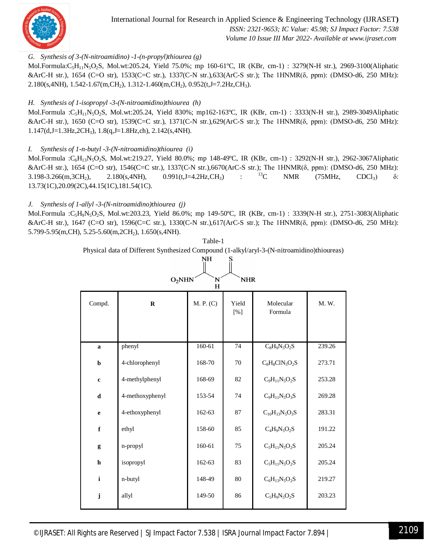

#### *G. Synthesis of 3-(N-nitroamidino) -1-(n-propyl)thiourea (g)*

Mol.Formula:C<sub>5</sub>H<sub>11</sub>N<sub>5</sub>O<sub>2</sub>S, Mol.wt:205.24, Yield 75.0%; mp 160-61°C, IR (KBr, cm-1) : 3279(N-H str.), 2969-3100(Aliphatic &ArC-H str.), 1654 (C=O str), 1533(C=C str.), 1337(C-N str.),633(ArC-S str.); The 1HNMR(δ, ppm): (DMSO-d6, 250 MHz): 2.180(s, 4NH), 1.542-1.67(m, CH<sub>2</sub>), 1.312-1.460(m, CH<sub>2</sub>), 0.952(t, J=7.2Hz, CH<sub>3</sub>).

#### *H. Synthesis of 1-isopropyl -3-(N-nitroamidino)thiourea (h)*

Mol.Formula :C5H11N5O2S, Mol.wt:205.24, Yield 830%; mp162-163ºC, IR (KBr, cm-1) : 3333(N-H str.), 2989-3049Aliphatic &ArC-H str.), 1650 (C=O str), 1539(C=C str.), 1371(C-N str.),629(ArC-S str.); The 1HNMR(δ, ppm): (DMSO-d6, 250 MHz): 1.147(d,J=1.3Hz,2CH3), 1.8(q,J=1.8Hz,ch), 2.142(s,4NH).

#### *I. Synthesis of 1-n-butyl -3-(N-nitroamidino)thiourea (i)*

Mol.Formula :C6H13N5O2S, Mol.wt:219.27, Yield 80.0%; mp 148-49ºC, IR (KBr, cm-1) : 3292(N-H str.), 2962-3067Aliphatic &ArC-H str.), 1654 (C=O str), 1546(C=C str.), 1337(C-N str.),6670(ArC-S str.); The 1HNMR( $\delta$ , ppm): (DMSO-d6, 250 MHz):<br>3 198-3 266(m 3CH<sub>2</sub>) 2.180(s.4NH). 0.991(t.J=4.2Hz.CH<sub>3</sub>) : <sup>13</sup>C NMR (75MHz, CDCl<sub>3</sub>)  $\delta$ : 3.198-3.266(m,3CH<sub>2</sub>), 2.180(s,4NH), 0.991(t,J=4.2Hz,CH<sub>3</sub>) : <sup>13</sup>C NMR (75MHz, CDCl<sub>3</sub>) δ: 13.73(1C),20.09(2C),44.15(1C),181.54(1C).

#### *J. Synthesis of 1-allyl -3-(N-nitroamidino)thiourea (j)*

Mol.Formula :C5H9N5O2S, Mol.wt:203.23, Yield 86.0%; mp 149-50ºC, IR (KBr, cm-1) : 3339(N-H str.), 2751-3083(Aliphatic &ArC-H str.), 1647 (C=O str), 1596(C=C str.), 1330(C-N str.),617(ArC-S str.); The 1HNMR(δ, ppm): (DMSO-d6, 250 MHz): 5.799-5.95(m,CH), 5.25-5.60(m,2CH2), 1.650(s,4NH).

| NH<br>S                                    |                 |           |              |                       |        |  |  |  |  |  |  |  |
|--------------------------------------------|-----------------|-----------|--------------|-----------------------|--------|--|--|--|--|--|--|--|
| O <sub>2</sub> NHN<br><b>NHR</b><br>N<br>H |                 |           |              |                       |        |  |  |  |  |  |  |  |
| Compd.                                     | $\mathbf R$     | M. P. (C) | Yield<br>[%] | Molecular<br>Formula  | M.W.   |  |  |  |  |  |  |  |
|                                            |                 |           |              |                       |        |  |  |  |  |  |  |  |
| a                                          | phenyl          | 160-61    | 74           | $C_8H_9N_5O_2S$       | 239.26 |  |  |  |  |  |  |  |
| $\mathbf b$                                | 4-chlorophenyl  | 168-70    | 70           | $C_8H_8C1N_5O_2S$     | 273.71 |  |  |  |  |  |  |  |
| $\mathbf c$                                | 4-methylphenyl  | 168-69    | 82           | $C_9H_{11}N_5O_2S$    | 253.28 |  |  |  |  |  |  |  |
| $\mathbf d$                                | 4-methoxyphenyl | 153-54    | 74           | $C_9H_{11}N_5O_3S$    | 269.28 |  |  |  |  |  |  |  |
| $\mathbf e$                                | 4-ethoxyphenyl  | 162-63    | 87           | $C_{10}H_{13}N_5O_3S$ | 283.31 |  |  |  |  |  |  |  |
| $\mathbf f$                                | ethyl           | 158-60    | 85           | $C_4H_9N_5O_2S$       | 191.22 |  |  |  |  |  |  |  |
| g                                          | n-propyl        | 160-61    | 75           | $C_5H_{11}N_5O_2S$    | 205.24 |  |  |  |  |  |  |  |
| $\mathbf h$                                | isopropyl       | 162-63    | 83           | $C_5H_{11}N_5O_2S$    | 205.24 |  |  |  |  |  |  |  |
| $\mathbf{i}$                               | n-butyl         | 148-49    | 80           | $C_6H_{13}N_5O_2S$    | 219.27 |  |  |  |  |  |  |  |
| j                                          | allyl           | 149-50    | 86           | $C_5H_9N_5O_2S$       | 203.23 |  |  |  |  |  |  |  |

Table-1 Physical data of Different Synthesized Compound (1-alkyl/aryl-3-(N-nitroamidino)thioureas)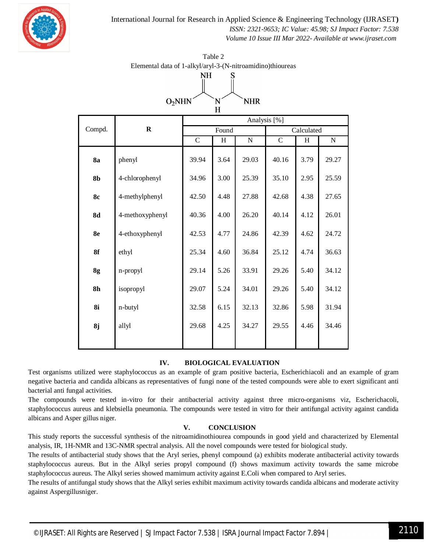

International Journal for Research in Applied Science & Engineering Technology (IJRASET**)**  *ISSN: 2321-9653; IC Value: 45.98; SJ Impact Factor: 7.538 Volume 10 Issue III Mar 2022- Available at www.ijraset.com*

| NH<br>S                                    |                 |                |              |                       |                |                           |           |  |  |  |  |  |
|--------------------------------------------|-----------------|----------------|--------------|-----------------------|----------------|---------------------------|-----------|--|--|--|--|--|
| O <sub>2</sub> NHN<br><b>NHR</b><br>N<br>H |                 |                |              |                       |                |                           |           |  |  |  |  |  |
| Compd.                                     | $\mathbf R$     | Analysis [%]   |              |                       |                |                           |           |  |  |  |  |  |
|                                            |                 | Found          |              |                       | Calculated     |                           |           |  |  |  |  |  |
|                                            |                 | $\overline{C}$ | $\, {\rm H}$ | $\overline{\text{N}}$ | $\overline{C}$ | $\boldsymbol{\mathrm{H}}$ | ${\bf N}$ |  |  |  |  |  |
| <b>8a</b>                                  | phenyl          | 39.94          | 3.64         | 29.03                 | 40.16          | 3.79                      | 29.27     |  |  |  |  |  |
| 8 <sub>b</sub>                             | 4-chlorophenyl  | 34.96          | 3.00         | 25.39                 | 35.10          | 2.95                      | 25.59     |  |  |  |  |  |
| <b>8c</b>                                  | 4-methylphenyl  | 42.50          | 4.48         | 27.88                 | 42.68          | 4.38                      | 27.65     |  |  |  |  |  |
| <b>8d</b>                                  | 4-methoxyphenyl | 40.36          | 4.00         | 26.20                 | 40.14          | 4.12                      | 26.01     |  |  |  |  |  |
| 8e                                         | 4-ethoxyphenyl  | 42.53          | 4.77         | 24.86                 | 42.39          | 4.62                      | 24.72     |  |  |  |  |  |
| 8f                                         | ethyl           | 25.34          | 4.60         | 36.84                 | 25.12          | 4.74                      | 36.63     |  |  |  |  |  |
| 8g                                         | n-propyl        | 29.14          | 5.26         | 33.91                 | 29.26          | 5.40                      | 34.12     |  |  |  |  |  |
| 8 <sub>h</sub>                             | isopropyl       | 29.07          | 5.24         | 34.01                 | 29.26          | 5.40                      | 34.12     |  |  |  |  |  |
| 8i                                         | n-butyl         | 32.58          | 6.15         | 32.13                 | 32.86          | 5.98                      | 31.94     |  |  |  |  |  |
| 8j                                         | allyl           | 29.68          | 4.25         | 34.27                 | 29.55          | 4.46                      | 34.46     |  |  |  |  |  |
|                                            |                 |                |              |                       |                |                           |           |  |  |  |  |  |

Table 2 Elemental data of 1-alkyl/aryl-3-(N-nitroamidino)thioureas

#### **IV. BIOLOGICAL EVALUATION**

Test organisms utilized were staphylococcus as an example of gram positive bacteria, Escherichiacoli and an example of gram negative bacteria and candida albicans as representatives of fungi none of the tested compounds were able to exert significant anti bacterial anti fungal activities.

The compounds were tested in-vitro for their antibacterial activity against three micro-organisms viz, Escherichacoli, staphylococcus aureus and klebsiella pneumonia. The compounds were tested in vitro for their antifungal activity against candida albicans and Asper gillus niger.

#### **V. CONCLUSION**

This study reports the successful synthesis of the nitroamidinothiourea compounds in good yield and characterized by Elemental analysis, IR, 1H-NMR and 13C-NMR spectral analysis. All the novel compounds were tested for biological study.

The results of antibacterial study shows that the Aryl series, phenyl compound (a) exhibits moderate antibacterial activity towards staphylococcus aureus. But in the Alkyl series propyl compound (f) shows maximum activity towards the same microbe staphylococcus aureus. The Alkyl series showed mamimum activity against E.Coli when compared to Aryl series.

The results of antifungal study shows that the Alkyl series exhibit maximum activity towards candida albicans and moderate activity against Aspergillusniger.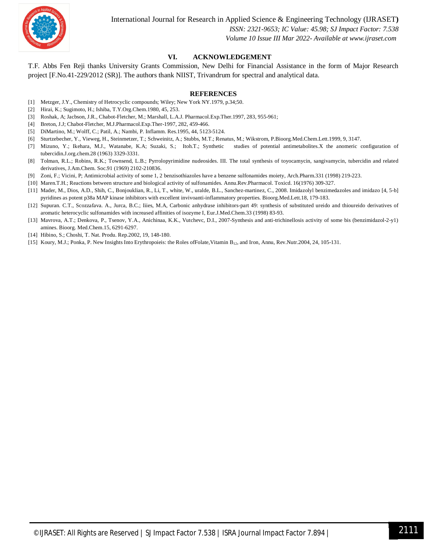

#### **VI. ACKNOWLEDGEMENT**

T.F. Abbs Fen Reji thanks University Grants Commission, New Delhi for Financial Assistance in the form of Major Research project [F.No.41-229/2012 (SR)]. The authors thank NIIST, Trivandrum for spectral and analytical data.

#### **REFERENCES**

- [1] Metzger, J.Y., Chemistry of Hetrocyclic compounds; Wiley; New York NY.1979, p.34;50.
- [2] Hirai, K.; Sugimoto, H.; Ishiba, T.Y.Org.Chem.1980, 45, 253.
- [3] Roshak, A; Jacbson, J.R., Chabot-Fletcher, M.; Marshall, L.A.J. Pharmacol.Exp.Ther.1997, 283, 955-961;
- [4] Breton, J.J; Chabot-Fletcher, M.J.Pharmacol.Exp.Ther-1997, 282, 459-466.
- [5] DiMartino, M.; Wolff, C.; Patil, A.; Nambi, P. Inflamm. Res.1995, 44, 5123-5124.
- [6] Sturtzebecher, Y., Vieweg, H., Steinmetzer, T.; Schweinitz, A.; Stubbs, M.T.; Renatus, M.; Wikstrom, P.Bioorg.Med.Chem.Lett.1999, 9, 3147.
- [7] Mizuno, Y.; Ikehara, M.J., Watanabe, K.A; Suzaki, S.; Itoh.T.; Synthetic studies of potential antimetabolites.X the anomeric configuration of tubercidin.J.org.chem.28 (1963) 3329-3331.
- [8] Tolman, R.L.; Robins, R.K.; Townsend, L.B.; Pyrrolopyrimidine nudeosides. III. The total synthesis of toyocamycin, sangivamycin, tubercidin and related derivatives, J.Am.Chem. Soc.91 (1969) 2102-210836.
- [9] Zoni, F.; Vicini, P; Antimicrobial activity of some 1, 2 benzisothiazoles have a benzene sulfonamides moiety, Arch.Pharm.331 (1998) 219-223.
- [10] Maren.T.H.; Reactions between structure and biological activity of sulfonamides. Annu.Rev.Pharmacol. Toxicd. 16(1976) 309-327.
- [11] Mader, M., Dios, A.D., Shih, C., Bonjouklian, R., Li, T., white, W., uralde, B.L., Sanchez-martinez, C., 2008. Imidazolyl benzimedazoles and imidazo [4, 5-b] pyridines as potent p38a MAP kinase inhibitors with excellent invivoanti-inflammatory properties. Bioorg.Med.Lett.18, 179-183.
- [12] Supuran. C.T., Scozzafava. A., Jurca, B.C.; Iiies, M.A, Carbonic anhydrase inhibitors-part 49: synthesis of substituted ureido and thioureido derivatives of aromatic heterocyclic sulfonamides with increased affinities of isozyme I, Eur.J.Med.Chem.33 (1998) 83-93.
- [13] Mavrova, A.T.; Denkova, P., Tsenov, Y.A., Anichinaa, K.K., Vutchevc, D.I., 2007-Synthesis and anti-trichinellosis activity of some bis (benzimidazol-2-y1) amines. Bioorg. Med.Chem.15, 6291-6297.
- [14] Hibino, S.; Choshi, T. Nat. Produ. Rep.2002, 19, 148-180.
- [15] Koury, M.J.; Ponka, P. New Insights Into Erythropoieis: the Roles ofFolate,Vitamin B12, and Iron, Annu, Rev.Nutr.2004, 24, 105-131.